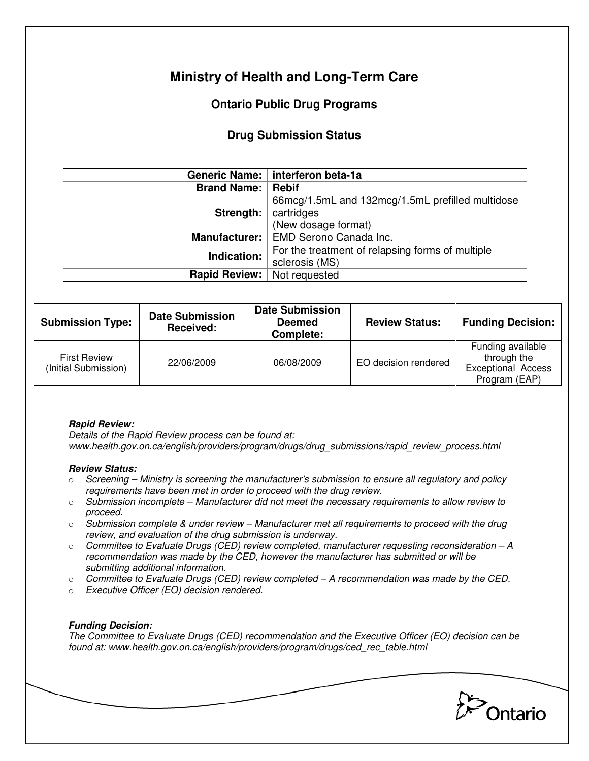# **Ministry of Health and Long-Term Care**

## **Ontario Public Drug Programs**

### **Drug Submission Status**

|                      | Generic Name:   interferon beta-1a                                                    |  |
|----------------------|---------------------------------------------------------------------------------------|--|
| <b>Brand Name:</b>   | <b>Rebif</b>                                                                          |  |
| Strength:            | 66mcg/1.5mL and 132mcg/1.5mL prefilled multidose<br>cartridges<br>(New dosage format) |  |
| <b>Manufacturer:</b> | EMD Serono Canada Inc.                                                                |  |
| Indication:          | For the treatment of relapsing forms of multiple<br>sclerosis (MS)                    |  |
| Rapid Review:        | Not requested                                                                         |  |

| <b>Submission Type:</b>                     | <b>Date Submission</b><br>Received: | <b>Date Submission</b><br><b>Deemed</b><br>Complete: | <b>Review Status:</b> | <b>Funding Decision:</b>                                                       |
|---------------------------------------------|-------------------------------------|------------------------------------------------------|-----------------------|--------------------------------------------------------------------------------|
| <b>First Review</b><br>(Initial Submission) | 22/06/2009                          | 06/08/2009                                           | EO decision rendered  | Funding available<br>through the<br><b>Exceptional Access</b><br>Program (EAP) |

#### **Rapid Review:**

Details of the Rapid Review process can be found at: www.health.gov.on.ca/english/providers/program/drugs/drug\_submissions/rapid\_review\_process.html

#### **Review Status:**

- $\circ$  Screening Ministry is screening the manufacturer's submission to ensure all regulatory and policy requirements have been met in order to proceed with the drug review.
- $\circ$  Submission incomplete Manufacturer did not meet the necessary requirements to allow review to proceed.
- $\circ$  Submission complete & under review Manufacturer met all requirements to proceed with the drug review, and evaluation of the drug submission is underway.
- $\circ$  Committee to Evaluate Drugs (CED) review completed, manufacturer requesting reconsideration A recommendation was made by the CED, however the manufacturer has submitted or will be submitting additional information.
- $\circ$  Committee to Evaluate Drugs (CED) review completed  $-A$  recommendation was made by the CED.
- o Executive Officer (EO) decision rendered.

### **Funding Decision:**

The Committee to Evaluate Drugs (CED) recommendation and the Executive Officer (EO) decision can be found at: www.health.gov.on.ca/english/providers/program/drugs/ced\_rec\_table.html